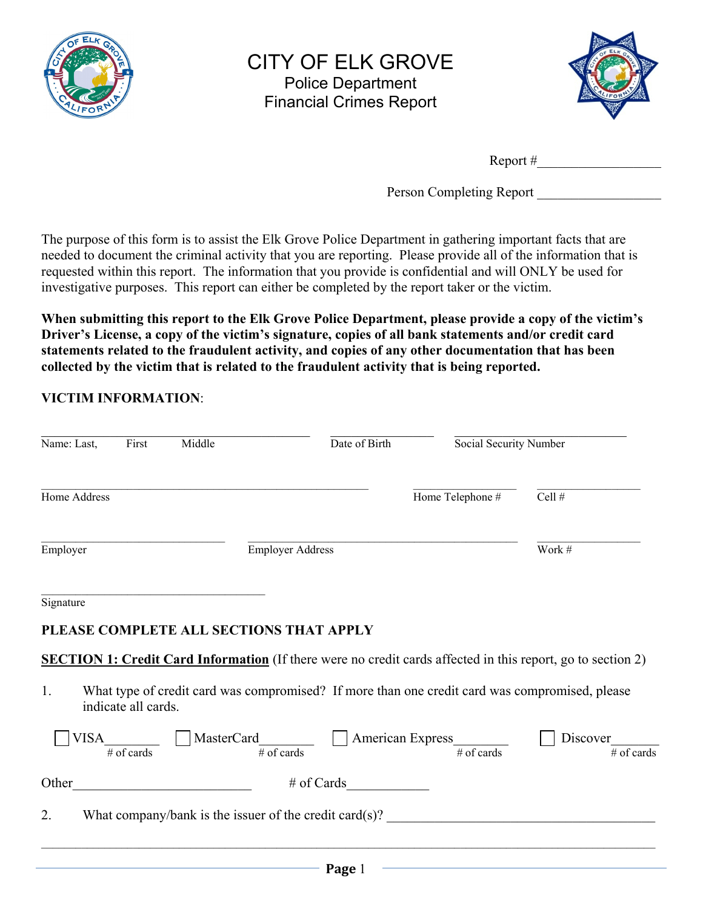

### CITY OF ELK GROVE Police Department Financial Crimes Report



Report #\_\_\_\_\_\_\_\_\_\_\_\_\_\_\_\_\_\_

Person Completing Report

The purpose of this form is to assist the Elk Grove Police Department in gathering important facts that are needed to document the criminal activity that you are reporting. Please provide all of the information that is requested within this report. The information that you provide is confidential and will ONLY be used for investigative purposes. This report can either be completed by the report taker or the victim.

**When submitting this report to the Elk Grove Police Department, please provide a copy of the victim's Driver's License, a copy of the victim's signature, copies of all bank statements and/or credit card statements related to the fraudulent activity, and copies of any other documentation that has been collected by the victim that is related to the fraudulent activity that is being reported.** 

### **VICTIM INFORMATION**:

| Name: Last,  | First                              | Middle                                                    |                                               | Date of Birth | Social Security Number                                     |                                                                                                                    |
|--------------|------------------------------------|-----------------------------------------------------------|-----------------------------------------------|---------------|------------------------------------------------------------|--------------------------------------------------------------------------------------------------------------------|
| Home Address |                                    |                                                           |                                               |               | Home Telephone #                                           | Cell #                                                                                                             |
| Employer     |                                    |                                                           | <b>Employer Address</b>                       |               |                                                            | Work #                                                                                                             |
| Signature    |                                    |                                                           | PLEASE COMPLETE ALL SECTIONS THAT APPLY       |               |                                                            |                                                                                                                    |
|              |                                    |                                                           |                                               |               |                                                            | <b>SECTION 1: Credit Card Information</b> (If there were no credit cards affected in this report, go to section 2) |
| 1.           | indicate all cards.                |                                                           |                                               |               |                                                            | What type of credit card was compromised? If more than one credit card was compromised, please                     |
| VISA         | $\overline{\# \text{ of } }$ cards |                                                           | MasterCard<br>$\frac{1}{\# \text{ of cards}}$ |               | American Express<br># of cards                             | Discover<br>$\overline{\#}$ of cards                                                                               |
| Other        |                                    | <u> 1989 - Johann Barbara, martxa amerikan personal (</u> |                                               | $\#$ of Cards |                                                            |                                                                                                                    |
| 2.           |                                    |                                                           |                                               |               | What company/bank is the issuer of the credit card $(s)$ ? |                                                                                                                    |
|              |                                    |                                                           |                                               | Page 1        |                                                            | the control of the control of the control of the control of the control of the control of                          |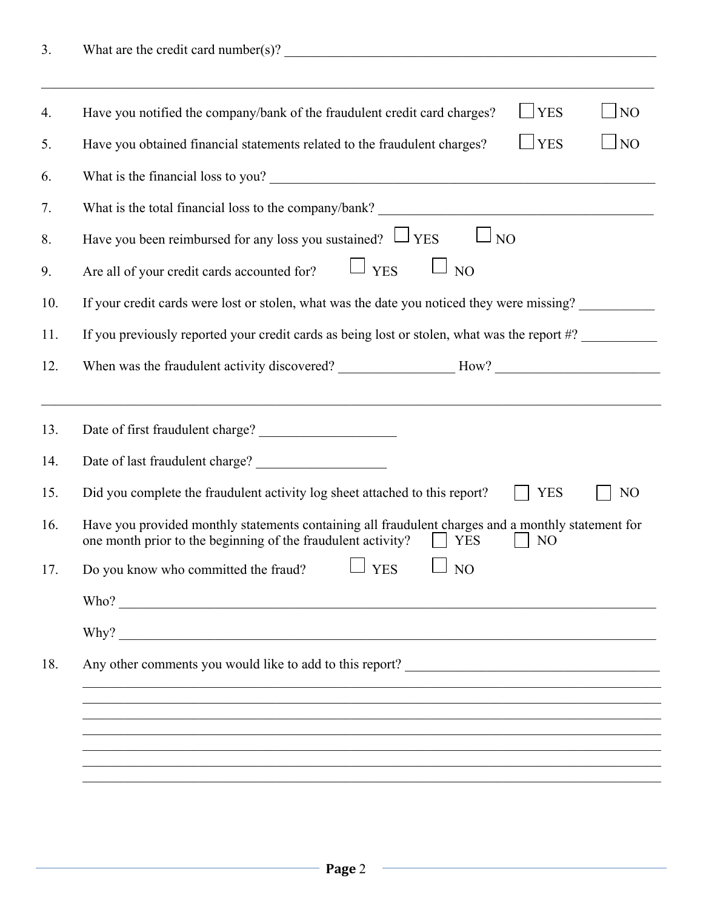| 4.  | $\Box$ NO<br>$\mathbf{YES}$<br>Have you notified the company/bank of the fraudulent credit card charges?                                                                                           |
|-----|----------------------------------------------------------------------------------------------------------------------------------------------------------------------------------------------------|
| 5.  | $\Box$ NO<br>$\Box$ YES<br>Have you obtained financial statements related to the fraudulent charges?                                                                                               |
| 6.  | What is the financial loss to you?                                                                                                                                                                 |
| 7.  |                                                                                                                                                                                                    |
| 8.  | Have you been reimbursed for any loss you sustained? $\Box$ YES<br>NO <sub>1</sub>                                                                                                                 |
| 9.  | $\Box$ YES<br>$\Box$ NO<br>Are all of your credit cards accounted for?                                                                                                                             |
| 10. | If your credit cards were lost or stolen, what was the date you noticed they were missing?                                                                                                         |
| 11. | If you previously reported your credit cards as being lost or stolen, what was the report #?                                                                                                       |
| 12. |                                                                                                                                                                                                    |
|     |                                                                                                                                                                                                    |
| 13. | Date of first fraudulent charge?                                                                                                                                                                   |
| 14. |                                                                                                                                                                                                    |
| 15. | Did you complete the fraudulent activity log sheet attached to this report?<br><b>YES</b><br>N <sub>O</sub>                                                                                        |
| 16. | Have you provided monthly statements containing all fraudulent charges and a monthly statement for<br>one month prior to the beginning of the fraudulent activity?<br><b>YES</b><br>N <sub>O</sub> |
| 17. | <b>YES</b><br>Do you know who committed the fraud?<br>NO                                                                                                                                           |
|     |                                                                                                                                                                                                    |
|     |                                                                                                                                                                                                    |
|     |                                                                                                                                                                                                    |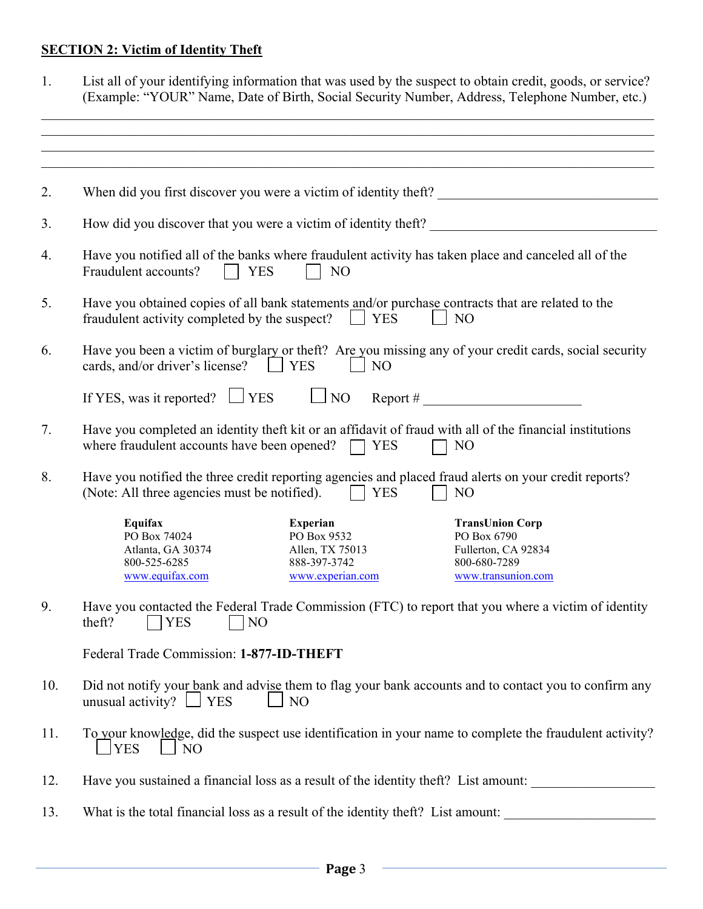#### **SECTION 2: Victim of Identity Theft**

| List all of your identifying information that was used by the suspect to obtain credit, goods, or service? |
|------------------------------------------------------------------------------------------------------------|
| (Example: "YOUR" Name, Date of Birth, Social Security Number, Address, Telephone Number, etc.)             |

 $\mathcal{L}_\mathcal{L} = \mathcal{L}_\mathcal{L} = \mathcal{L}_\mathcal{L} = \mathcal{L}_\mathcal{L} = \mathcal{L}_\mathcal{L} = \mathcal{L}_\mathcal{L} = \mathcal{L}_\mathcal{L} = \mathcal{L}_\mathcal{L} = \mathcal{L}_\mathcal{L} = \mathcal{L}_\mathcal{L} = \mathcal{L}_\mathcal{L} = \mathcal{L}_\mathcal{L} = \mathcal{L}_\mathcal{L} = \mathcal{L}_\mathcal{L} = \mathcal{L}_\mathcal{L} = \mathcal{L}_\mathcal{L} = \mathcal{L}_\mathcal{L}$ 

| 2.  | When did you first discover you were a victim of identity theft?                                                                                                                                                                                                               |
|-----|--------------------------------------------------------------------------------------------------------------------------------------------------------------------------------------------------------------------------------------------------------------------------------|
|     |                                                                                                                                                                                                                                                                                |
| 3.  | How did you discover that you were a victim of identity theft?                                                                                                                                                                                                                 |
| 4.  | Have you notified all of the banks where fraudulent activity has taken place and canceled all of the<br>Fraudulent accounts?<br>N <sub>O</sub><br><b>YES</b>                                                                                                                   |
| 5.  | Have you obtained copies of all bank statements and/or purchase contracts that are related to the<br><b>YES</b><br>fraudulent activity completed by the suspect?<br>$\mathbf{1}$<br>N <sub>O</sub>                                                                             |
| 6.  | Have you been a victim of burglary or theft? Are you missing any of your credit cards, social security<br>cards, and/or driver's license? [Contract VES<br>N <sub>O</sub>                                                                                                      |
|     | If YES, was it reported? $\Box$ YES<br>$\Box$ NO<br>$\mathsf{Report}~\#$                                                                                                                                                                                                       |
| 7.  | Have you completed an identity theft kit or an affidavit of fraud with all of the financial institutions<br>where fraudulent accounts have been opened?<br>$\Box$ YES<br>N <sub>O</sub>                                                                                        |
| 8.  | Have you notified the three credit reporting agencies and placed fraud alerts on your credit reports?<br>(Note: All three agencies must be notified).<br><b>YES</b><br>N <sub>O</sub>                                                                                          |
|     | Equifax<br><b>Experian</b><br><b>TransUnion Corp</b><br>PO Box 74024<br>PO Box 9532<br>PO Box 6790<br>Atlanta, GA 30374<br>Allen, TX 75013<br>Fullerton, CA 92834<br>800-525-6285<br>888-397-3742<br>800-680-7289<br>www.equifax.com<br>www.experian.com<br>www.transunion.com |
| 9.  | Have you contacted the Federal Trade Commission (FTC) to report that you where a victim of identity<br>theft?<br><b>YES</b><br>N <sub>O</sub>                                                                                                                                  |
|     | Federal Trade Commission: 1-877-ID-THEFT                                                                                                                                                                                                                                       |
| 10. | Did not notify your bank and advise them to flag your bank accounts and to contact you to confirm any<br>unusual activity? $\Box$ YES<br>N <sub>O</sub>                                                                                                                        |
| 11. | To your knowledge, did the suspect use identification in your name to complete the fraudulent activity?<br><b>YES</b><br>NO                                                                                                                                                    |
| 12. | Have you sustained a financial loss as a result of the identity theft? List amount:                                                                                                                                                                                            |
| 13. | What is the total financial loss as a result of the identity theft? List amount:                                                                                                                                                                                               |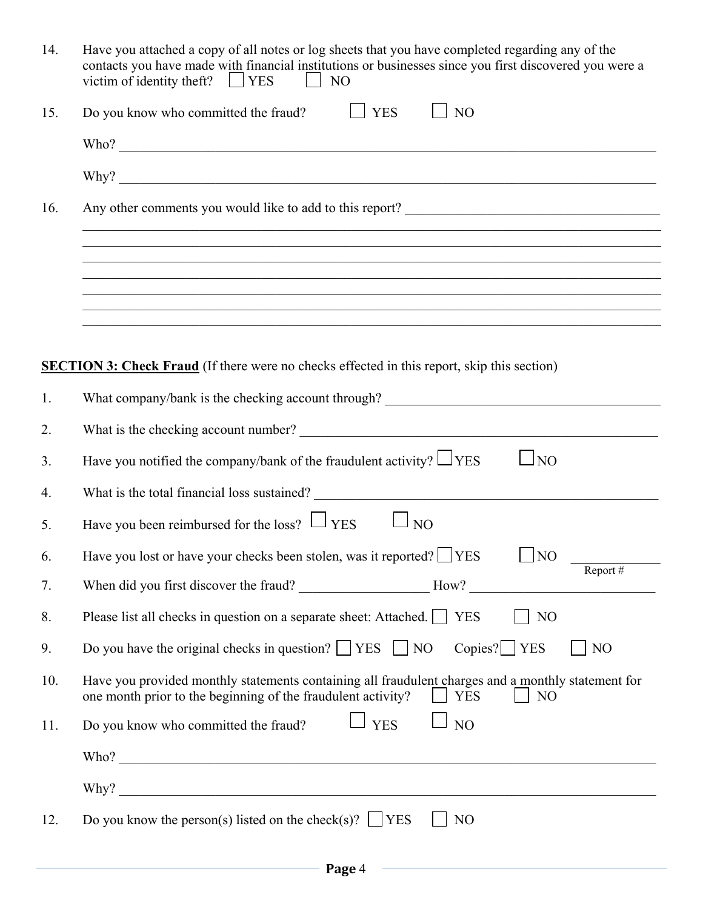| 14. | Have you attached a copy of all notes or log sheets that you have completed regarding any of the<br>contacts you have made with financial institutions or businesses since you first discovered you were a<br>victim of identity theft? $\Box$ YES<br>$N_O$ |
|-----|-------------------------------------------------------------------------------------------------------------------------------------------------------------------------------------------------------------------------------------------------------------|
| 15. | $\Box$ YES<br>$\Box$ NO<br>Do you know who committed the fraud?                                                                                                                                                                                             |
|     |                                                                                                                                                                                                                                                             |
|     | $Why$ ?                                                                                                                                                                                                                                                     |
| 16. | Any other comments you would like to add to this report?                                                                                                                                                                                                    |
|     | <u> 1989 - Johann Stoff, Amerikaansk politiker (d. 1989)</u>                                                                                                                                                                                                |
|     | ,我们也不能在这里的人,我们也不能在这里的人,我们也不能在这里的人,我们也不能在这里的人,我们也不能在这里的人,我们也不能在这里的人,我们也不能在这里的人,我们也                                                                                                                                                                           |
|     |                                                                                                                                                                                                                                                             |
|     |                                                                                                                                                                                                                                                             |
|     | <b>SECTION 3: Check Fraud</b> (If there were no checks effected in this report, skip this section)                                                                                                                                                          |
| 1.  |                                                                                                                                                                                                                                                             |
| 2.  |                                                                                                                                                                                                                                                             |
| 3.  | Have you notified the company/bank of the fraudulent activity? $\Box$ YES<br>$\Box$ NO                                                                                                                                                                      |
| 4.  |                                                                                                                                                                                                                                                             |
| 5.  | Have you been reimbursed for the loss? $\Box$ YES<br>$\Box$ NO                                                                                                                                                                                              |
| 6.  | Have you lost or have your checks been stolen, was it reported? $\Box$ YES<br>$\Box$ NO                                                                                                                                                                     |
| 7.  | Report #                                                                                                                                                                                                                                                    |
| 8.  | Please list all checks in question on a separate sheet: Attached.     YES<br>NO                                                                                                                                                                             |
| 9.  | Do you have the original checks in question? $\Box$ YES $\Box$ NO<br>$Copies?$ $YES$<br>N <sub>O</sub>                                                                                                                                                      |
| 10. | Have you provided monthly statements containing all fraudulent charges and a monthly statement for<br>one month prior to the beginning of the fraudulent activity?<br>$\vert$   YES<br>N <sub>O</sub>                                                       |
| 11. | $\Box$ YES<br>$\Box$ NO<br>Do you know who committed the fraud?                                                                                                                                                                                             |
|     |                                                                                                                                                                                                                                                             |
|     |                                                                                                                                                                                                                                                             |
| 12. | Do you know the person(s) listed on the check(s)? $\Box$ YES<br>N <sub>O</sub>                                                                                                                                                                              |
|     |                                                                                                                                                                                                                                                             |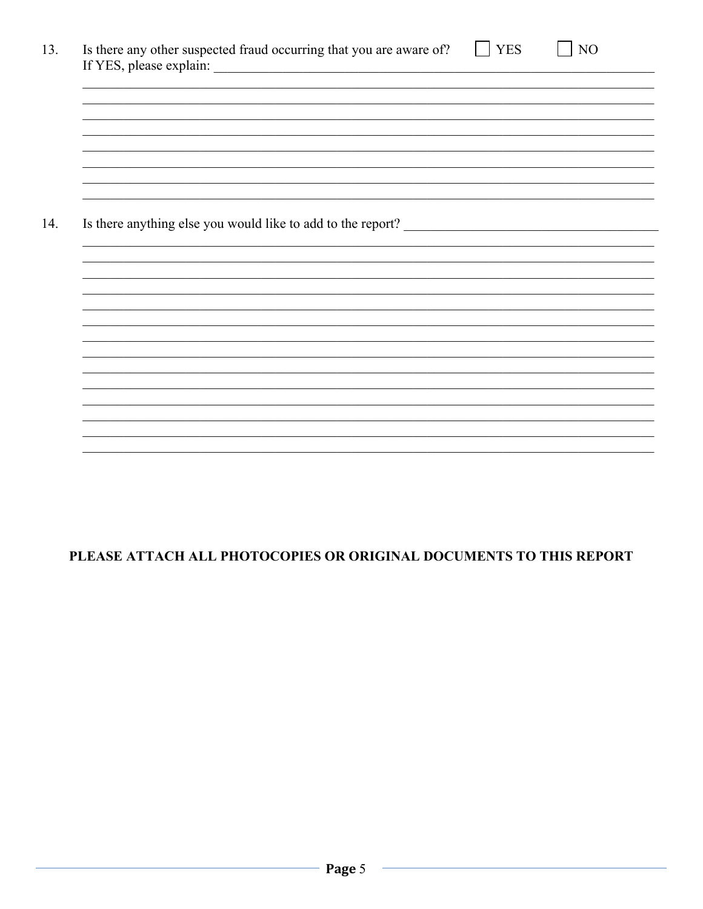| Is there any other suspected fraud occurring that you are aware of? |  |  |  |  | <b>YES</b> |  | NO |
|---------------------------------------------------------------------|--|--|--|--|------------|--|----|
|                                                                     |  |  |  |  |            |  |    |
|                                                                     |  |  |  |  |            |  |    |
|                                                                     |  |  |  |  |            |  |    |
|                                                                     |  |  |  |  |            |  |    |
|                                                                     |  |  |  |  |            |  |    |
|                                                                     |  |  |  |  |            |  |    |
|                                                                     |  |  |  |  |            |  |    |
|                                                                     |  |  |  |  |            |  |    |
|                                                                     |  |  |  |  |            |  |    |
|                                                                     |  |  |  |  |            |  |    |
|                                                                     |  |  |  |  |            |  |    |
|                                                                     |  |  |  |  |            |  |    |
|                                                                     |  |  |  |  |            |  |    |
| Is there anything else you would like to add to the report?         |  |  |  |  |            |  |    |
|                                                                     |  |  |  |  |            |  |    |
|                                                                     |  |  |  |  |            |  |    |
|                                                                     |  |  |  |  |            |  |    |
|                                                                     |  |  |  |  |            |  |    |
|                                                                     |  |  |  |  |            |  |    |
|                                                                     |  |  |  |  |            |  |    |
|                                                                     |  |  |  |  |            |  |    |
|                                                                     |  |  |  |  |            |  |    |
|                                                                     |  |  |  |  |            |  |    |
|                                                                     |  |  |  |  |            |  |    |
|                                                                     |  |  |  |  |            |  |    |
|                                                                     |  |  |  |  |            |  |    |
|                                                                     |  |  |  |  |            |  |    |
|                                                                     |  |  |  |  |            |  |    |
|                                                                     |  |  |  |  |            |  |    |

### PLEASE ATTACH ALL PHOTOCOPIES OR ORIGINAL DOCUMENTS TO THIS REPORT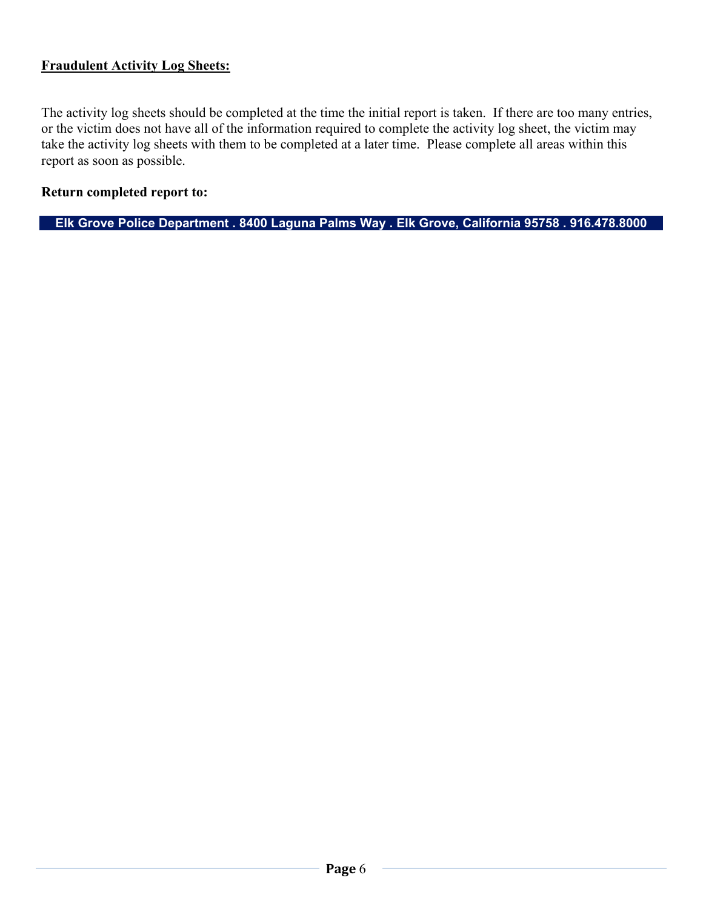#### **Fraudulent Activity Log Sheets:**

The activity log sheets should be completed at the time the initial report is taken. If there are too many entries, or the victim does not have all of the information required to complete the activity log sheet, the victim may take the activity log sheets with them to be completed at a later time. Please complete all areas within this report as soon as possible.

#### **Return completed report to:**

**Elk Grove Police Department . 8400 Laguna Palms Way . Elk Grove, California 95758 . 916.478.8000**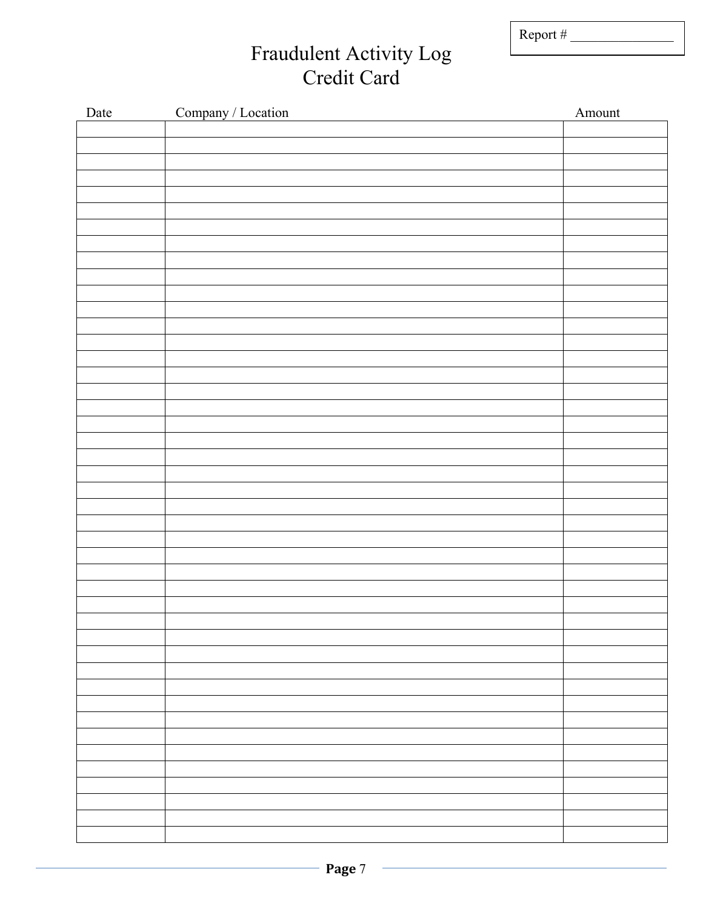Report #  $\frac{2}{\sqrt{2\pi}}$ 

## Fraudulent Activity Log Credit Card

| Date | Company / Location | Amount |
|------|--------------------|--------|
|      |                    |        |
|      |                    |        |
|      |                    |        |
|      |                    |        |
|      |                    |        |
|      |                    |        |
|      |                    |        |
|      |                    |        |
|      |                    |        |
|      |                    |        |
|      |                    |        |
|      |                    |        |
|      |                    |        |
|      |                    |        |
|      |                    |        |
|      |                    |        |
|      |                    |        |
|      |                    |        |
|      |                    |        |
|      |                    |        |
|      |                    |        |
|      |                    |        |
|      |                    |        |
|      |                    |        |
|      |                    |        |
|      |                    |        |
|      |                    |        |
|      |                    |        |
|      |                    |        |
|      |                    |        |
|      |                    |        |
|      |                    |        |
|      |                    |        |
|      |                    |        |
|      |                    |        |
|      |                    |        |
|      |                    |        |
|      |                    |        |
|      |                    |        |
|      |                    |        |
|      |                    |        |
|      |                    |        |
|      |                    |        |
|      |                    |        |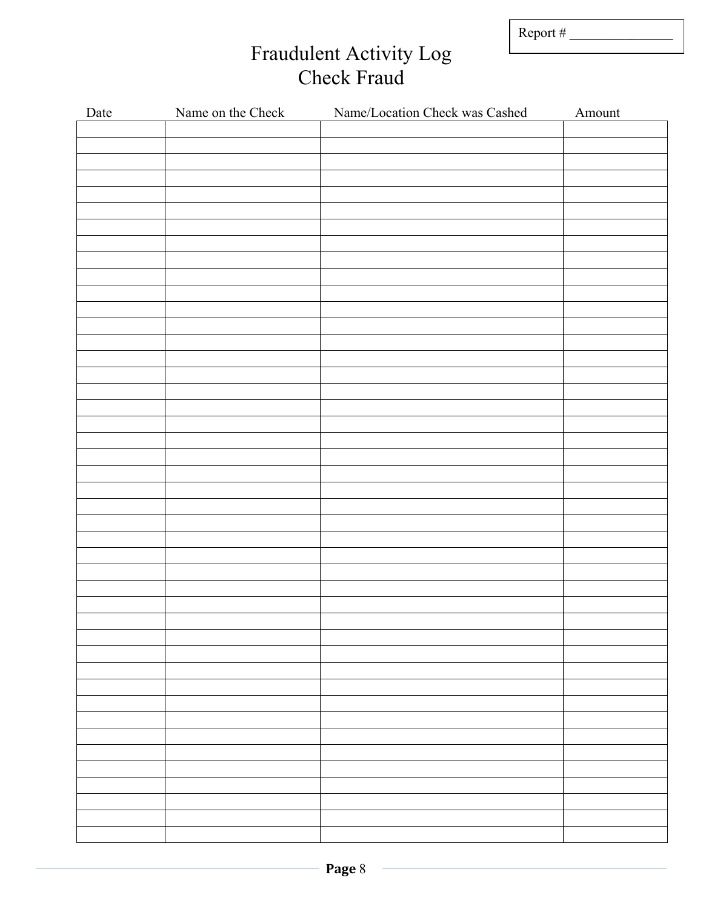| Report $#$ |
|------------|
|------------|

## Fraudulent Activity Log Check Fraud

| Date | Name on the Check | Name/Location Check was Cashed | Amount |
|------|-------------------|--------------------------------|--------|
|      |                   |                                |        |
|      |                   |                                |        |
|      |                   |                                |        |
|      |                   |                                |        |
|      |                   |                                |        |
|      |                   |                                |        |
|      |                   |                                |        |
|      |                   |                                |        |
|      |                   |                                |        |
|      |                   |                                |        |
|      |                   |                                |        |
|      |                   |                                |        |
|      |                   |                                |        |
|      |                   |                                |        |
|      |                   |                                |        |
|      |                   |                                |        |
|      |                   |                                |        |
|      |                   |                                |        |
|      |                   |                                |        |
|      |                   |                                |        |
|      |                   |                                |        |
|      |                   |                                |        |
|      |                   |                                |        |
|      |                   |                                |        |
|      |                   |                                |        |
|      |                   |                                |        |
|      |                   |                                |        |
|      |                   |                                |        |
|      |                   |                                |        |
|      |                   |                                |        |
|      |                   |                                |        |
|      |                   |                                |        |
|      |                   |                                |        |
|      |                   |                                |        |
|      |                   |                                |        |
|      |                   |                                |        |
|      |                   |                                |        |
|      |                   |                                |        |
|      |                   |                                |        |
|      |                   |                                |        |
|      |                   |                                |        |
|      |                   |                                |        |
|      |                   |                                |        |
|      |                   |                                |        |